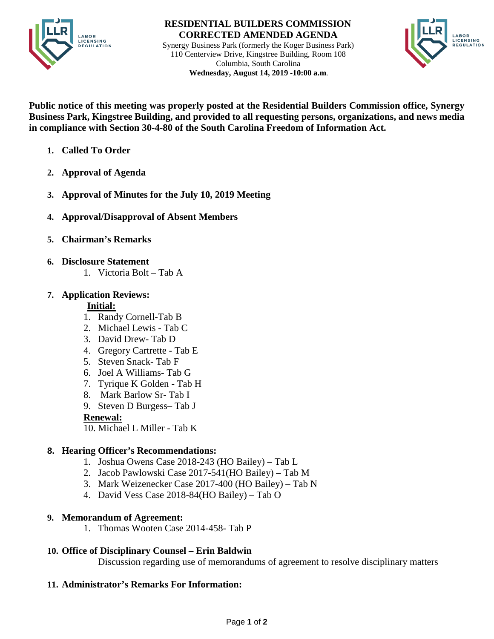

#### **RESIDENTIAL BUILDERS COMMISSION CORRECTED AMENDED AGENDA**

Synergy Business Park (formerly the Koger Business Park) 110 Centerview Drive, Kingstree Building, Room 108 Columbia, South Carolina  **Wednesday, August 14, 2019 -10:00 a.m**.



**Public notice of this meeting was properly posted at the Residential Builders Commission office, Synergy Business Park, Kingstree Building, and provided to all requesting persons, organizations, and news media in compliance with Section 30-4-80 of the South Carolina Freedom of Information Act.**

- **1. Called To Order**
- **2. Approval of Agenda**
- **3. Approval of Minutes for the July 10, 2019 Meeting**
- **4. Approval/Disapproval of Absent Members**
- **5. Chairman's Remarks**
- **6. Disclosure Statement** 
	- 1. Victoria Bolt Tab A

## **7. Application Reviews:**

## **Initial:**

- 1. Randy Cornell-Tab B
- 2. Michael Lewis Tab C
- 3. David Drew- Tab D
- 4. Gregory Cartrette Tab E
- 5. Steven Snack- Tab F
- 6. Joel A Williams- Tab G
- 7. Tyrique K Golden Tab H
- 8. Mark Barlow Sr- Tab I
- 9. Steven D Burgess– Tab J

## **Renewal:**

10. Michael L Miller - Tab K

# **8. Hearing Officer's Recommendations:**

- 1. Joshua Owens Case 2018-243 (HO Bailey) Tab L
- 2. Jacob Pawlowski Case 2017-541(HO Bailey) Tab M
- 3. Mark Weizenecker Case 2017-400 (HO Bailey) Tab N
- 4. David Vess Case 2018-84(HO Bailey) Tab O

## **9. Memorandum of Agreement:**

1. Thomas Wooten Case 2014-458- Tab P

## **10. Office of Disciplinary Counsel – Erin Baldwin**

Discussion regarding use of memorandums of agreement to resolve disciplinary matters

## **11. Administrator's Remarks For Information:**